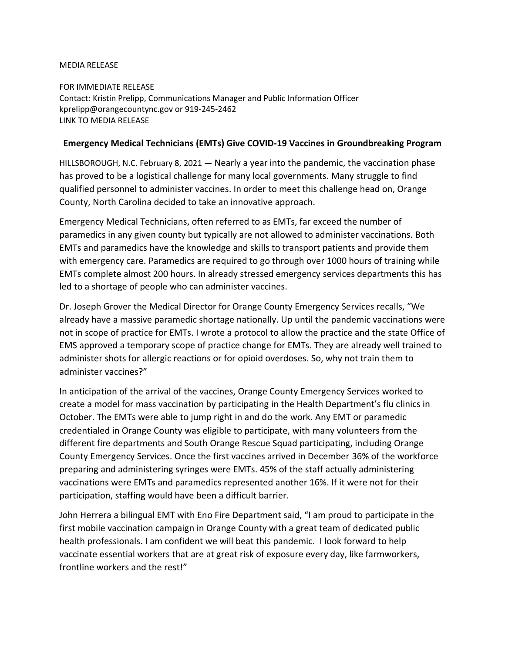## MEDIA RELEASE

FOR IMMEDIATE RELEASE Contact: Kristin Prelipp, Communications Manager and Public Information Officer kprelipp@orangecountync.gov or 919-245-2462 [LINK TO MEDIA RELEASE](https://www.orangecountync.gov/DocumentCenter/View/14650/Emergency-Medical-Technicians-Give-COVID19-Vaccines-in-Groundbreaking-Program-FINAL)

## **Emergency Medical Technicians (EMTs) Give COVID-19 Vaccines in Groundbreaking Program**

HILLSBOROUGH, N.C. February 8, 2021 ― Nearly a year into the pandemic, the vaccination phase has proved to be a logistical challenge for many local governments. Many struggle to find qualified personnel to administer vaccines. In order to meet this challenge head on, Orange County, North Carolina decided to take an innovative approach.

Emergency Medical Technicians, often referred to as EMTs, far exceed the number of paramedics in any given county but typically are not allowed to administer vaccinations. Both EMTs and paramedics have the knowledge and skills to transport patients and provide them with emergency care. Paramedics are required to go through over 1000 hours of training while EMTs complete almost 200 hours. In already stressed emergency services departments this has led to a shortage of people who can administer vaccines.

Dr. Joseph Grover the Medical Director for Orange County Emergency Services recalls, "We already have a massive paramedic shortage nationally. Up until the pandemic vaccinations were not in scope of practice for EMTs. I wrote a protocol to allow the practice and the state Office of EMS approved a temporary scope of practice change for EMTs. They are already well trained to administer shots for allergic reactions or for opioid overdoses. So, why not train them to administer vaccines?"

In anticipation of the arrival of the vaccines, Orange County Emergency Services worked to create a model for mass vaccination by participating in the Health Department's flu clinics in October. The EMTs were able to jump right in and do the work. Any EMT or paramedic credentialed in Orange County was eligible to participate, with many volunteers from the different fire departments and South Orange Rescue Squad participating, including Orange County Emergency Services. Once the first vaccines arrived in December 36% of the workforce preparing and administering syringes were EMTs. 45% of the staff actually administering vaccinations were EMTs and paramedics represented another 16%. If it were not for their participation, staffing would have been a difficult barrier.

John Herrera a bilingual EMT with Eno Fire Department said, "I am proud to participate in the first mobile vaccination campaign in Orange County with a great team of dedicated public health professionals. I am confident we will beat this pandemic. I look forward to help vaccinate essential workers that are at great risk of exposure every day, like farmworkers, frontline workers and the rest!"